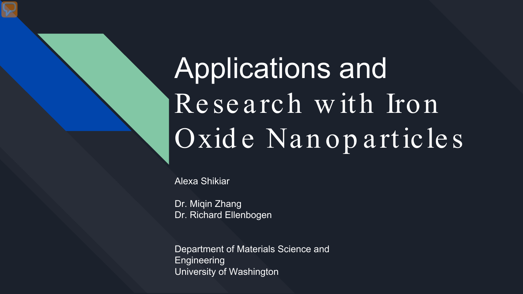# Applications and Research with Iron Oxide Nanoparticles

Alexa Shikiar

Dr. Miqin Zhang Dr. Richard Ellenbogen

Department of Materials Science and **Engineering** University of Washington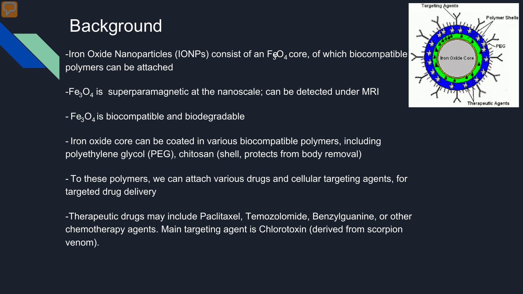### **Background**

-Iron Oxide Nanoparticles (IONPs) consist of an  $F_{\rm s}O_4$  core, of which biocompatible polymers can be attached

 $-Fe<sub>3</sub>O<sub>4</sub>$  is superparamagnetic at the nanoscale; can be detected under MRI

 $-Fe<sub>3</sub>O<sub>4</sub>$  is biocompatible and biodegradable

- Iron oxide core can be coated in various biocompatible polymers, including polyethylene glycol (PEG), chitosan (shell, protects from body removal)

- To these polymers, we can attach various drugs and cellular targeting agents, for targeted drug delivery

-Therapeutic drugs may include Paclitaxel, Temozolomide, Benzylguanine, or other chemotherapy agents. Main targeting agent is Chlorotoxin (derived from scorpion venom).

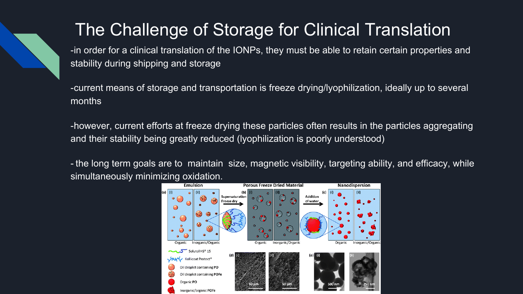# The Challenge of Storage for Clinical Translation

-in order for a clinical translation of the IONPs, they must be able to retain certain properties and stability during shipping and storage

-current means of storage and transportation is freeze drying/lyophilization, ideally up to several months

-however, current efforts at freeze drying these particles often results in the particles aggregating and their stability being greatly reduced (lyophilization is poorly understood)

- the long term goals are to maintain size, magnetic visibility, targeting ability, and efficacy, while simultaneously minimizing oxidation.

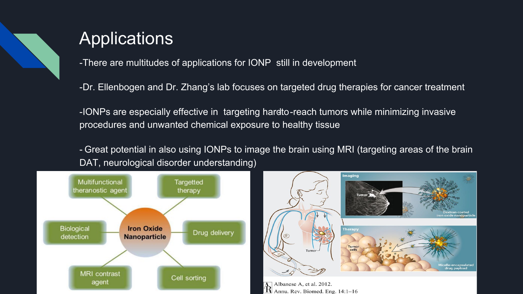

# **Applications**

-There are multitudes of applications for IONP still in development

-Dr. Ellenbogen and Dr. Zhang's lab focuses on targeted drug therapies for cancer treatment

-IONPs are especially effective in targeting hardto-reach tumors while minimizing invasive procedures and unwanted chemical exposure to healthy tissue

- Great potential in also using IONPs to image the brain using MRI (targeting areas of the brain DAT, neurological disorder understanding)





Albanese A, et al. 2012. Annu. Rev. Biomed. Eng. 14:1-16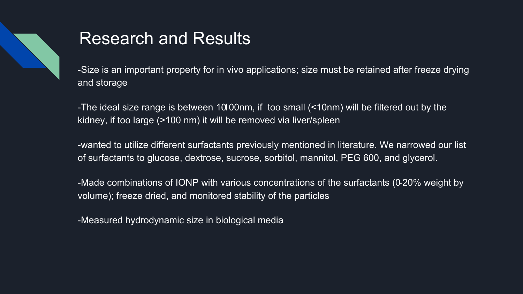

# Research and Results

-Size is an important property for in vivo applications; size must be retained after freeze drying and storage

-The ideal size range is between  $\overline{101}00$ nm, if too small (<10nm) will be filtered out by the kidney, if too large (>100 nm) it will be removed via liver/spleen

-wanted to utilize different surfactants previously mentioned in literature. We narrowed our list of surfactants to glucose, dextrose, sucrose, sorbitol, mannitol, PEG 600, and glycerol.

-Made combinations of IONP with various concentrations of the surfactants (0-20% weight by volume); freeze dried, and monitored stability of the particles

-Measured hydrodynamic size in biological media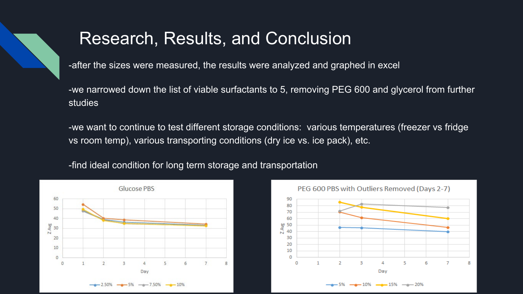### Research, Results, and Conclusion

-after the sizes were measured, the results were analyzed and graphed in excel

-we narrowed down the list of viable surfactants to 5, removing PEG 600 and glycerol from further studies

-we want to continue to test different storage conditions: various temperatures (freezer vs fridge vs room temp), various transporting conditions (dry ice vs. ice pack), etc.

-find ideal condition for long term storage and transportation